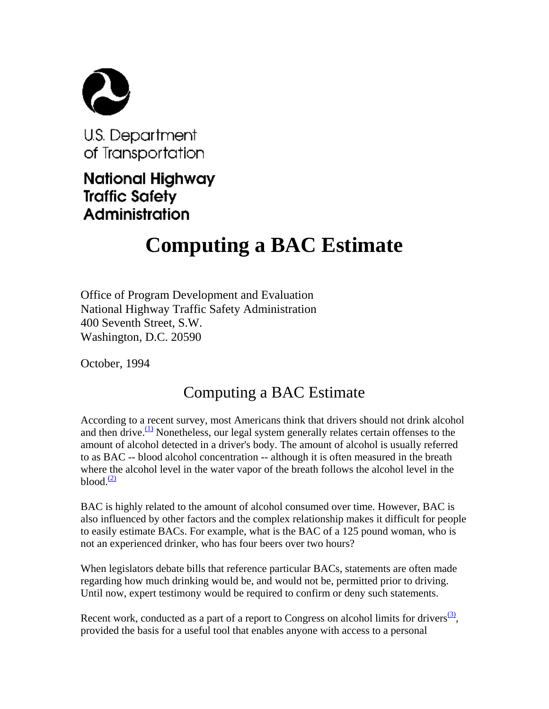

U.S. Department of Transportation

National Highway **Traffic Safety** Administration

## **Computing a BAC Estimate**

Office of Program Development and Evaluation National Highway Traffic Safety Administration 400 Seventh Street, S.W. Washington, D.C. 20590

October, 1994

## Computing a BAC Estimate

According to a recent survey, most Americans think that drivers should not drink alcohol and then drive. $(1)$  Nonetheless, our legal system generally relates certain offenses to the amount of alcohol detected in a driver's body. The amount of alcohol is usually referred to as BAC -- blood alcohol concentration -- although it is often measured in the breath where the alcohol level in the water vapor of the breath follows the alcohol level in the blood. $\frac{(2)}{2}$ 

BAC is highly related to the amount of alcohol consumed over time. However, BAC is also influenced by other factors and the complex relationship makes it difficult for people to easily estimate BACs. For example, what is the BAC of a 125 pound woman, who is not an experienced drinker, who has four beers over two hours?

When legislators debate bills that reference particular BACs, statements are often made regarding how much drinking would be, and would not be, permitted prior to driving. Until now, expert testimony would be required to confirm or deny such statements.

Recent work, conducted as a part of a report to Congress on alcohol limits for drivers<sup>(3)</sup>, provided the basis for a useful tool that enables anyone with access to a personal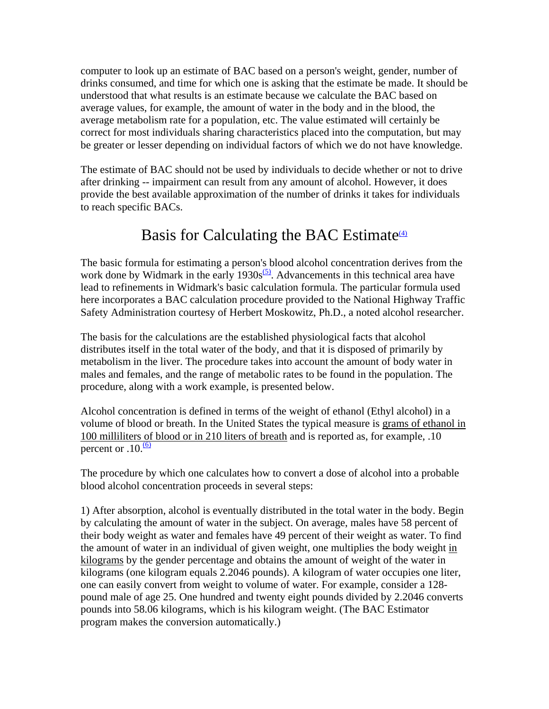computer to look up an estimate of BAC based on a person's weight, gender, number of drinks consumed, and time for which one is asking that the estimate be made. It should be understood that what results is an estimate because we calculate the BAC based on average values, for example, the amount of water in the body and in the blood, the average metabolism rate for a population, etc. The value estimated will certainly be correct for most individuals sharing characteristics placed into the computation, but may be greater or lesser depending on individual factors of which we do not have knowledge.

The estimate of BAC should not be used by individuals to decide whether or not to drive after drinking -- impairment can result from any amount of alcohol. However, it does provide the best available approximation of the number of drinks it takes for individuals to reach specific BACs.

## Basis for Calculating the BAC Estimate $\frac{4}{4}$

The basic formula for estimating a person's blood alcohol concentration derives from the work done by Widmark in the early  $1930s^{5}$ . Advancements in this technical area have lead to refinements in Widmark's basic calculation formula. The particular formula used here incorporates a BAC calculation procedure provided to the National Highway Traffic Safety Administration courtesy of Herbert Moskowitz, Ph.D., a noted alcohol researcher.

The basis for the calculations are the established physiological facts that alcohol distributes itself in the total water of the body, and that it is disposed of primarily by metabolism in the liver. The procedure takes into account the amount of body water in males and females, and the range of metabolic rates to be found in the population. The procedure, along with a work example, is presented below.

Alcohol concentration is defined in terms of the weight of ethanol (Ethyl alcohol) in a volume of blood or breath. In the United States the typical measure is grams of ethanol in 100 milliliters of blood or in 210 liters of breath and is reported as, for example, .10 percent or  $.10 \frac{(6)}{6}$ 

The procedure by which one calculates how to convert a dose of alcohol into a probable blood alcohol concentration proceeds in several steps:

1) After absorption, alcohol is eventually distributed in the total water in the body. Begin by calculating the amount of water in the subject. On average, males have 58 percent of their body weight as water and females have 49 percent of their weight as water. To find the amount of water in an individual of given weight, one multiplies the body weight in kilograms by the gender percentage and obtains the amount of weight of the water in kilograms (one kilogram equals 2.2046 pounds). A kilogram of water occupies one liter, one can easily convert from weight to volume of water. For example, consider a 128 pound male of age 25. One hundred and twenty eight pounds divided by 2.2046 converts pounds into 58.06 kilograms, which is his kilogram weight. (The BAC Estimator program makes the conversion automatically.)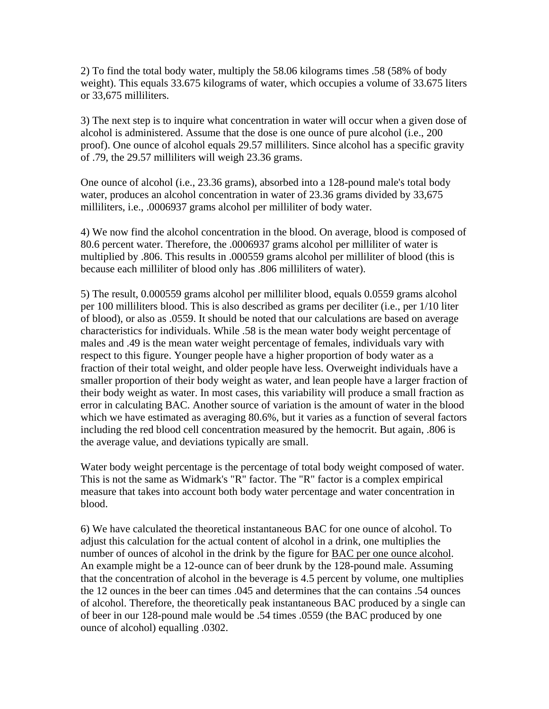2) To find the total body water, multiply the 58.06 kilograms times .58 (58% of body weight). This equals 33.675 kilograms of water, which occupies a volume of 33.675 liters or 33,675 milliliters.

3) The next step is to inquire what concentration in water will occur when a given dose of alcohol is administered. Assume that the dose is one ounce of pure alcohol (i.e., 200 proof). One ounce of alcohol equals 29.57 milliliters. Since alcohol has a specific gravity of .79, the 29.57 milliliters will weigh 23.36 grams.

One ounce of alcohol (i.e., 23.36 grams), absorbed into a 128-pound male's total body water, produces an alcohol concentration in water of 23.36 grams divided by 33,675 milliliters, i.e., .0006937 grams alcohol per milliliter of body water.

4) We now find the alcohol concentration in the blood. On average, blood is composed of 80.6 percent water. Therefore, the .0006937 grams alcohol per milliliter of water is multiplied by .806. This results in .000559 grams alcohol per milliliter of blood (this is because each milliliter of blood only has .806 milliliters of water).

5) The result, 0.000559 grams alcohol per milliliter blood, equals 0.0559 grams alcohol per 100 milliliters blood. This is also described as grams per deciliter (i.e., per 1/10 liter of blood), or also as .0559. It should be noted that our calculations are based on average characteristics for individuals. While .58 is the mean water body weight percentage of males and .49 is the mean water weight percentage of females, individuals vary with respect to this figure. Younger people have a higher proportion of body water as a fraction of their total weight, and older people have less. Overweight individuals have a smaller proportion of their body weight as water, and lean people have a larger fraction of their body weight as water. In most cases, this variability will produce a small fraction as error in calculating BAC. Another source of variation is the amount of water in the blood which we have estimated as averaging 80.6%, but it varies as a function of several factors including the red blood cell concentration measured by the hemocrit. But again, .806 is the average value, and deviations typically are small.

Water body weight percentage is the percentage of total body weight composed of water. This is not the same as Widmark's "R" factor. The "R" factor is a complex empirical measure that takes into account both body water percentage and water concentration in blood.

6) We have calculated the theoretical instantaneous BAC for one ounce of alcohol. To adjust this calculation for the actual content of alcohol in a drink, one multiplies the number of ounces of alcohol in the drink by the figure for BAC per one ounce alcohol. An example might be a 12-ounce can of beer drunk by the 128-pound male. Assuming that the concentration of alcohol in the beverage is 4.5 percent by volume, one multiplies the 12 ounces in the beer can times .045 and determines that the can contains .54 ounces of alcohol. Therefore, the theoretically peak instantaneous BAC produced by a single can of beer in our 128-pound male would be .54 times .0559 (the BAC produced by one ounce of alcohol) equalling .0302.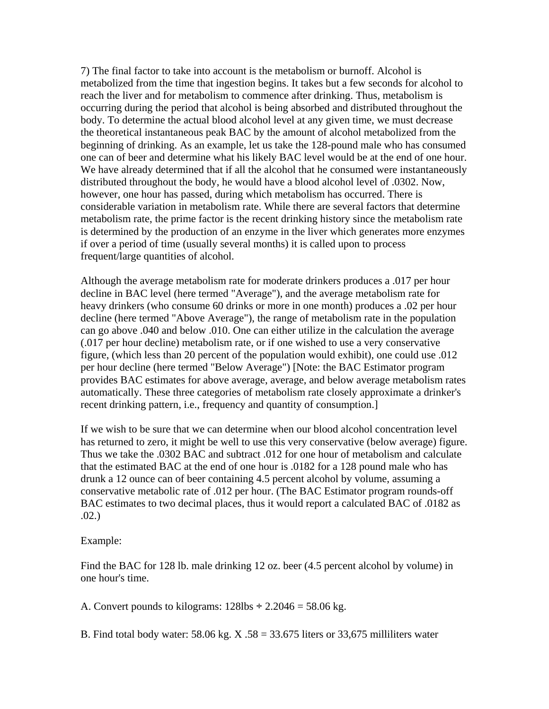7) The final factor to take into account is the metabolism or burnoff. Alcohol is metabolized from the time that ingestion begins. It takes but a few seconds for alcohol to reach the liver and for metabolism to commence after drinking. Thus, metabolism is occurring during the period that alcohol is being absorbed and distributed throughout the body. To determine the actual blood alcohol level at any given time, we must decrease the theoretical instantaneous peak BAC by the amount of alcohol metabolized from the beginning of drinking. As an example, let us take the 128-pound male who has consumed one can of beer and determine what his likely BAC level would be at the end of one hour. We have already determined that if all the alcohol that he consumed were instantaneously distributed throughout the body, he would have a blood alcohol level of .0302. Now, however, one hour has passed, during which metabolism has occurred. There is considerable variation in metabolism rate. While there are several factors that determine metabolism rate, the prime factor is the recent drinking history since the metabolism rate is determined by the production of an enzyme in the liver which generates more enzymes if over a period of time (usually several months) it is called upon to process frequent/large quantities of alcohol.

Although the average metabolism rate for moderate drinkers produces a .017 per hour decline in BAC level (here termed "Average"), and the average metabolism rate for heavy drinkers (who consume 60 drinks or more in one month) produces a .02 per hour decline (here termed "Above Average"), the range of metabolism rate in the population can go above .040 and below .010. One can either utilize in the calculation the average (.017 per hour decline) metabolism rate, or if one wished to use a very conservative figure, (which less than 20 percent of the population would exhibit), one could use .012 per hour decline (here termed "Below Average") [Note: the BAC Estimator program provides BAC estimates for above average, average, and below average metabolism rates automatically. These three categories of metabolism rate closely approximate a drinker's recent drinking pattern, i.e., frequency and quantity of consumption.]

If we wish to be sure that we can determine when our blood alcohol concentration level has returned to zero, it might be well to use this very conservative (below average) figure. Thus we take the .0302 BAC and subtract .012 for one hour of metabolism and calculate that the estimated BAC at the end of one hour is .0182 for a 128 pound male who has drunk a 12 ounce can of beer containing 4.5 percent alcohol by volume, assuming a conservative metabolic rate of .012 per hour. (The BAC Estimator program rounds-off BAC estimates to two decimal places, thus it would report a calculated BAC of .0182 as .02.)

## Example:

Find the BAC for 128 lb. male drinking 12 oz. beer (4.5 percent alcohol by volume) in one hour's time.

A. Convert pounds to kilograms:  $128$ lbs ÷  $2.2046 = 58.06$  kg.

B. Find total body water:  $58.06$  kg. X  $.58 = 33.675$  liters or  $33,675$  milliliters water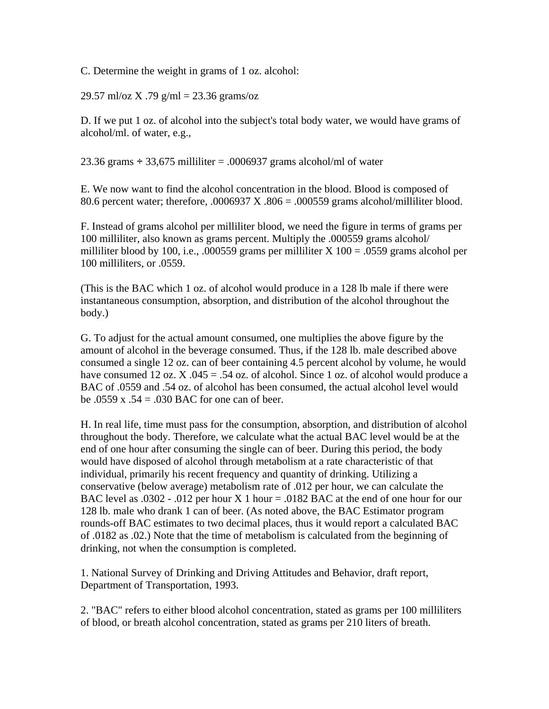C. Determine the weight in grams of 1 oz. alcohol:

29.57 ml/oz X .79 g/ml = 23.36 grams/oz

D. If we put 1 oz. of alcohol into the subject's total body water, we would have grams of alcohol/ml. of water, e.g.,

23.36 grams  $\div$  33,675 milliliter = .0006937 grams alcohol/ml of water

E. We now want to find the alcohol concentration in the blood. Blood is composed of 80.6 percent water; therefore, .0006937 X .806 = .000559 grams alcohol/milliliter blood.

F. Instead of grams alcohol per milliliter blood, we need the figure in terms of grams per 100 milliliter, also known as grams percent. Multiply the .000559 grams alcohol/ milliliter blood by 100, i.e., .000559 grams per milliliter X  $100 = .0559$  grams alcohol per 100 milliliters, or .0559.

(This is the BAC which 1 oz. of alcohol would produce in a 128 lb male if there were instantaneous consumption, absorption, and distribution of the alcohol throughout the body.)

G. To adjust for the actual amount consumed, one multiplies the above figure by the amount of alcohol in the beverage consumed. Thus, if the 128 lb. male described above consumed a single 12 oz. can of beer containing 4.5 percent alcohol by volume, he would have consumed 12 oz.  $X$ .045 = .54 oz. of alcohol. Since 1 oz. of alcohol would produce a BAC of .0559 and .54 oz. of alcohol has been consumed, the actual alcohol level would be .0559 x .54 = .030 BAC for one can of beer.

H. In real life, time must pass for the consumption, absorption, and distribution of alcohol throughout the body. Therefore, we calculate what the actual BAC level would be at the end of one hour after consuming the single can of beer. During this period, the body would have disposed of alcohol through metabolism at a rate characteristic of that individual, primarily his recent frequency and quantity of drinking. Utilizing a conservative (below average) metabolism rate of .012 per hour, we can calculate the BAC level as  $.0302 - .012$  per hour X 1 hour =  $.0182$  BAC at the end of one hour for our 128 lb. male who drank 1 can of beer. (As noted above, the BAC Estimator program rounds-off BAC estimates to two decimal places, thus it would report a calculated BAC of .0182 as .02.) Note that the time of metabolism is calculated from the beginning of drinking, not when the consumption is completed.

1. National Survey of Drinking and Driving Attitudes and Behavior, draft report, Department of Transportation, 1993.

2. "BAC" refers to either blood alcohol concentration, stated as grams per 100 milliliters of blood, or breath alcohol concentration, stated as grams per 210 liters of breath.